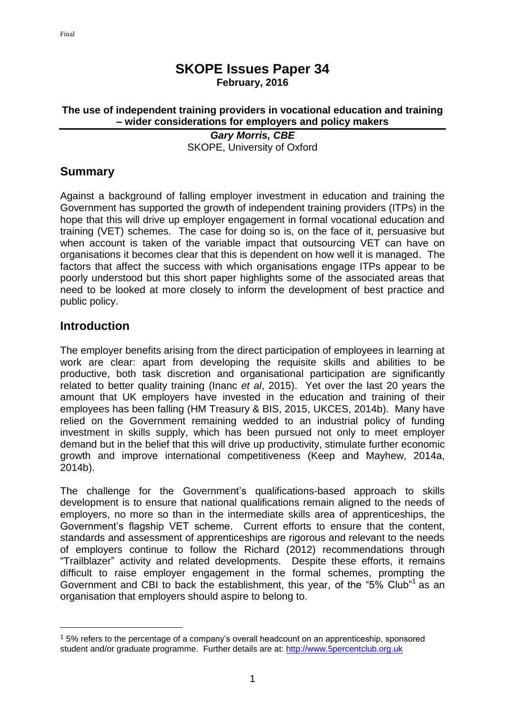#### **SKOPE Issues Paper 34 February, 2016**

#### **The use of independent training providers in vocational education and training – wider considerations for employers and policy makers**

*Gary Morris, CBE* SKOPE, University of Oxford

# **Summary**

Against a background of falling employer investment in education and training the Government has supported the growth of independent training providers (ITPs) in the hope that this will drive up employer engagement in formal vocational education and training (VET) schemes. The case for doing so is, on the face of it, persuasive but when account is taken of the variable impact that outsourcing VET can have on organisations it becomes clear that this is dependent on how well it is managed. The factors that affect the success with which organisations engage ITPs appear to be poorly understood but this short paper highlights some of the associated areas that need to be looked at more closely to inform the development of best practice and public policy.

#### **Introduction**

 $\overline{\phantom{a}}$ 

The employer benefits arising from the direct participation of employees in learning at work are clear: apart from developing the requisite skills and abilities to be productive, both task discretion and organisational participation are significantly related to better quality training (Inanc *et al*, 2015). Yet over the last 20 years the amount that UK employers have invested in the education and training of their employees has been falling (HM Treasury & BIS, 2015, UKCES, 2014b). Many have relied on the Government remaining wedded to an industrial policy of funding investment in skills supply, which has been pursued not only to meet employer demand but in the belief that this will drive up productivity, stimulate further economic growth and improve international competitiveness (Keep and Mayhew, 2014a, 2014b).

The challenge for the Government's qualifications-based approach to skills development is to ensure that national qualifications remain aligned to the needs of employers, no more so than in the intermediate skills area of apprenticeships, the Government's flagship VET scheme. Current efforts to ensure that the content, standards and assessment of apprenticeships are rigorous and relevant to the needs of employers continue to follow the Richard (2012) recommendations through "Trailblazer" activity and related developments. Despite these efforts, it remains difficult to raise employer engagement in the formal schemes, prompting the Government and CBI to back the establishment, this year, of the "5% Club"<sup>1</sup> as an organisation that employers should aspire to belong to.

 $15\%$  refers to the percentage of a company's overall headcount on an apprenticeship, sponsored student and/or graduate programme. Further details are at: [http://www.5percentclub.org.uk](http://www.5percentclub.org.uk/)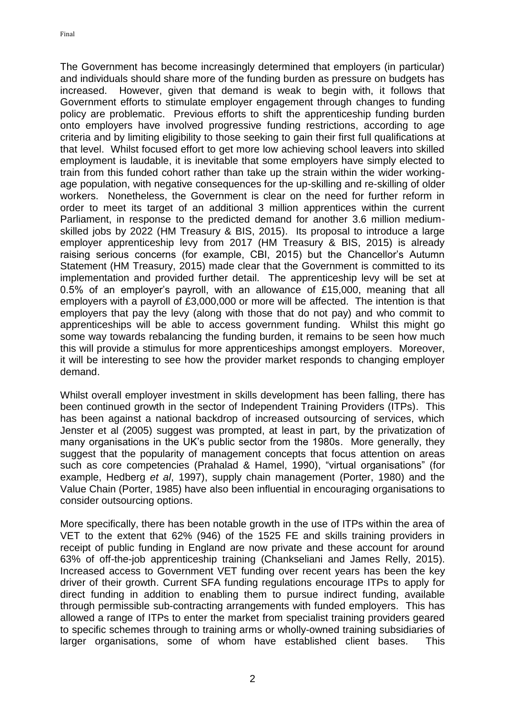The Government has become increasingly determined that employers (in particular) and individuals should share more of the funding burden as pressure on budgets has increased. However, given that demand is weak to begin with, it follows that Government efforts to stimulate employer engagement through changes to funding policy are problematic. Previous efforts to shift the apprenticeship funding burden onto employers have involved progressive funding restrictions, according to age criteria and by limiting eligibility to those seeking to gain their first full qualifications at that level. Whilst focused effort to get more low achieving school leavers into skilled employment is laudable, it is inevitable that some employers have simply elected to train from this funded cohort rather than take up the strain within the wider workingage population, with negative consequences for the up-skilling and re-skilling of older workers. Nonetheless, the Government is clear on the need for further reform in order to meet its target of an additional 3 million apprentices within the current Parliament, in response to the predicted demand for another 3.6 million mediumskilled jobs by 2022 (HM Treasury & BIS, 2015). Its proposal to introduce a large employer apprenticeship levy from 2017 (HM Treasury & BIS, 2015) is already raising serious concerns (for example, CBI, 2015) but the Chancellor's Autumn Statement (HM Treasury, 2015) made clear that the Government is committed to its implementation and provided further detail. The apprenticeship levy will be set at 0.5% of an employer's payroll, with an allowance of £15,000, meaning that all employers with a payroll of £3,000,000 or more will be affected. The intention is that employers that pay the levy (along with those that do not pay) and who commit to apprenticeships will be able to access government funding. Whilst this might go some way towards rebalancing the funding burden, it remains to be seen how much this will provide a stimulus for more apprenticeships amongst employers. Moreover, it will be interesting to see how the provider market responds to changing employer demand.

Whilst overall employer investment in skills development has been falling, there has been continued growth in the sector of Independent Training Providers (ITPs). This has been against a national backdrop of increased outsourcing of services, which Jenster et al (2005) suggest was prompted, at least in part, by the privatization of many organisations in the UK's public sector from the 1980s. More generally, they suggest that the popularity of management concepts that focus attention on areas such as core competencies (Prahalad & Hamel, 1990), "virtual organisations" (for example, Hedberg *et al*, 1997), supply chain management (Porter, 1980) and the Value Chain (Porter, 1985) have also been influential in encouraging organisations to consider outsourcing options.

More specifically, there has been notable growth in the use of ITPs within the area of VET to the extent that 62% (946) of the 1525 FE and skills training providers in receipt of public funding in England are now private and these account for around 63% of off-the-job apprenticeship training (Chankseliani and James Relly, 2015). Increased access to Government VET funding over recent years has been the key driver of their growth. Current SFA funding regulations encourage ITPs to apply for direct funding in addition to enabling them to pursue indirect funding, available through permissible sub-contracting arrangements with funded employers. This has allowed a range of ITPs to enter the market from specialist training providers geared to specific schemes through to training arms or wholly-owned training subsidiaries of larger organisations, some of whom have established client bases. This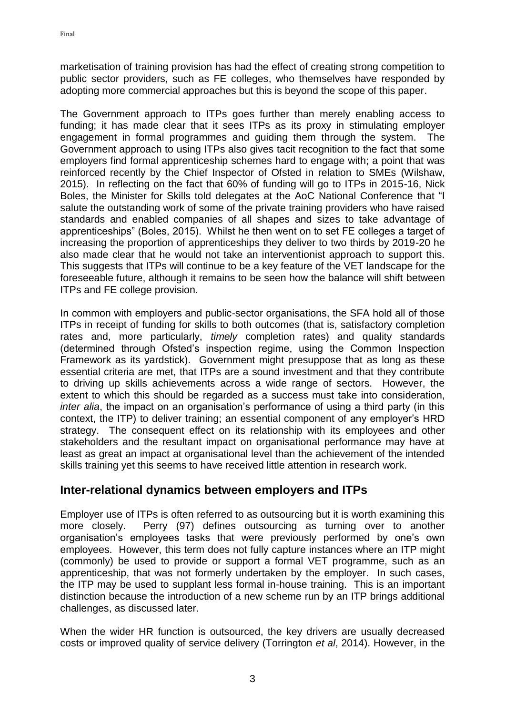marketisation of training provision has had the effect of creating strong competition to public sector providers, such as FE colleges, who themselves have responded by adopting more commercial approaches but this is beyond the scope of this paper.

The Government approach to ITPs goes further than merely enabling access to funding; it has made clear that it sees ITPs as its proxy in stimulating employer engagement in formal programmes and guiding them through the system. The Government approach to using ITPs also gives tacit recognition to the fact that some employers find formal apprenticeship schemes hard to engage with; a point that was reinforced recently by the Chief Inspector of Ofsted in relation to SMEs (Wilshaw, 2015). In reflecting on the fact that 60% of funding will go to ITPs in 2015-16, Nick Boles, the Minister for Skills told delegates at the AoC National Conference that "I salute the outstanding work of some of the private training providers who have raised standards and enabled companies of all shapes and sizes to take advantage of apprenticeships" (Boles, 2015). Whilst he then went on to set FE colleges a target of increasing the proportion of apprenticeships they deliver to two thirds by 2019-20 he also made clear that he would not take an interventionist approach to support this. This suggests that ITPs will continue to be a key feature of the VET landscape for the foreseeable future, although it remains to be seen how the balance will shift between ITPs and FE college provision.

In common with employers and public-sector organisations, the SFA hold all of those ITPs in receipt of funding for skills to both outcomes (that is, satisfactory completion rates and, more particularly, *timely* completion rates) and quality standards (determined through Ofsted's inspection regime, using the Common Inspection Framework as its yardstick). Government might presuppose that as long as these essential criteria are met, that ITPs are a sound investment and that they contribute to driving up skills achievements across a wide range of sectors. However, the extent to which this should be regarded as a success must take into consideration, *inter alia*, the impact on an organisation's performance of using a third party (in this context, the ITP) to deliver training; an essential component of any employer's HRD strategy. The consequent effect on its relationship with its employees and other stakeholders and the resultant impact on organisational performance may have at least as great an impact at organisational level than the achievement of the intended skills training yet this seems to have received little attention in research work.

# **Inter-relational dynamics between employers and ITPs**

Employer use of ITPs is often referred to as outsourcing but it is worth examining this more closely. Perry (97) defines outsourcing as turning over to another organisation's employees tasks that were previously performed by one's own employees. However, this term does not fully capture instances where an ITP might (commonly) be used to provide or support a formal VET programme, such as an apprenticeship, that was not formerly undertaken by the employer. In such cases, the ITP may be used to supplant less formal in-house training. This is an important distinction because the introduction of a new scheme run by an ITP brings additional challenges, as discussed later.

When the wider HR function is outsourced, the key drivers are usually decreased costs or improved quality of service delivery (Torrington *et al*, 2014). However, in the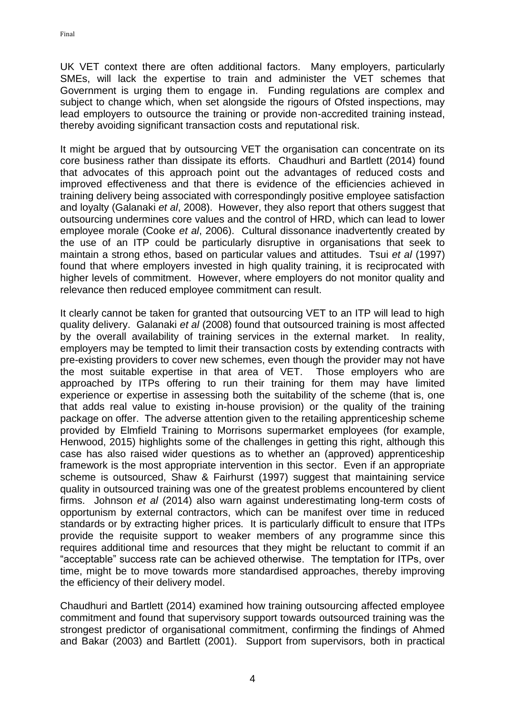UK VET context there are often additional factors. Many employers, particularly SMEs, will lack the expertise to train and administer the VET schemes that Government is urging them to engage in. Funding regulations are complex and subject to change which, when set alongside the rigours of Ofsted inspections, may lead employers to outsource the training or provide non-accredited training instead, thereby avoiding significant transaction costs and reputational risk.

It might be argued that by outsourcing VET the organisation can concentrate on its core business rather than dissipate its efforts. Chaudhuri and Bartlett (2014) found that advocates of this approach point out the advantages of reduced costs and improved effectiveness and that there is evidence of the efficiencies achieved in training delivery being associated with correspondingly positive employee satisfaction and loyalty (Galanaki *et al*, 2008). However, they also report that others suggest that outsourcing undermines core values and the control of HRD, which can lead to lower employee morale (Cooke *et al*, 2006). Cultural dissonance inadvertently created by the use of an ITP could be particularly disruptive in organisations that seek to maintain a strong ethos, based on particular values and attitudes. Tsui *et al* (1997) found that where employers invested in high quality training, it is reciprocated with higher levels of commitment. However, where employers do not monitor quality and relevance then reduced employee commitment can result.

It clearly cannot be taken for granted that outsourcing VET to an ITP will lead to high quality delivery. Galanaki *et al* (2008) found that outsourced training is most affected by the overall availability of training services in the external market. In reality, employers may be tempted to limit their transaction costs by extending contracts with pre-existing providers to cover new schemes, even though the provider may not have the most suitable expertise in that area of VET. Those employers who are approached by ITPs offering to run their training for them may have limited experience or expertise in assessing both the suitability of the scheme (that is, one that adds real value to existing in-house provision) or the quality of the training package on offer. The adverse attention given to the retailing apprenticeship scheme provided by Elmfield Training to Morrisons supermarket employees (for example, Henwood, 2015) highlights some of the challenges in getting this right, although this case has also raised wider questions as to whether an (approved) apprenticeship framework is the most appropriate intervention in this sector. Even if an appropriate scheme is outsourced, Shaw & Fairhurst (1997) suggest that maintaining service quality in outsourced training was one of the greatest problems encountered by client firms. Johnson *et al* (2014) also warn against underestimating long-term costs of opportunism by external contractors, which can be manifest over time in reduced standards or by extracting higher prices. It is particularly difficult to ensure that ITPs provide the requisite support to weaker members of any programme since this requires additional time and resources that they might be reluctant to commit if an "acceptable" success rate can be achieved otherwise. The temptation for ITPs, over time, might be to move towards more standardised approaches, thereby improving the efficiency of their delivery model.

Chaudhuri and Bartlett (2014) examined how training outsourcing affected employee commitment and found that supervisory support towards outsourced training was the strongest predictor of organisational commitment, confirming the findings of Ahmed and Bakar (2003) and Bartlett (2001). Support from supervisors, both in practical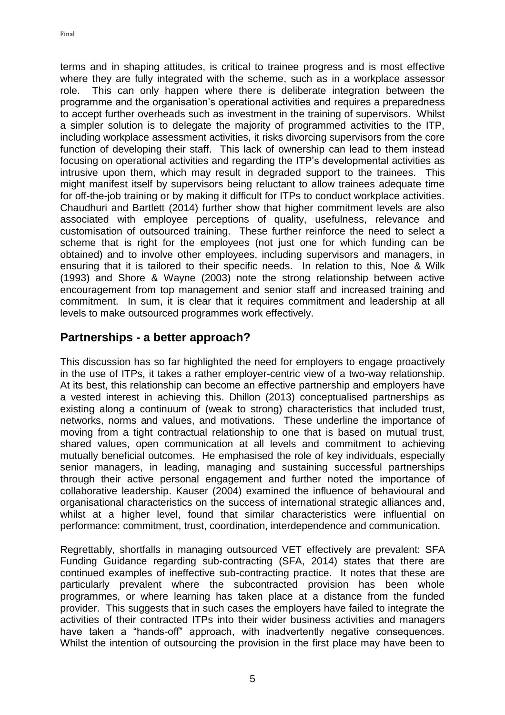terms and in shaping attitudes, is critical to trainee progress and is most effective where they are fully integrated with the scheme, such as in a workplace assessor role. This can only happen where there is deliberate integration between the programme and the organisation's operational activities and requires a preparedness to accept further overheads such as investment in the training of supervisors. Whilst a simpler solution is to delegate the majority of programmed activities to the ITP, including workplace assessment activities, it risks divorcing supervisors from the core function of developing their staff. This lack of ownership can lead to them instead focusing on operational activities and regarding the ITP's developmental activities as intrusive upon them, which may result in degraded support to the trainees. This might manifest itself by supervisors being reluctant to allow trainees adequate time for off-the-job training or by making it difficult for ITPs to conduct workplace activities. Chaudhuri and Bartlett (2014) further show that higher commitment levels are also associated with employee perceptions of quality, usefulness, relevance and customisation of outsourced training. These further reinforce the need to select a scheme that is right for the employees (not just one for which funding can be obtained) and to involve other employees, including supervisors and managers, in ensuring that it is tailored to their specific needs. In relation to this, Noe & Wilk (1993) and Shore & Wayne (2003) note the strong relationship between active encouragement from top management and senior staff and increased training and commitment. In sum, it is clear that it requires commitment and leadership at all levels to make outsourced programmes work effectively.

#### **Partnerships - a better approach?**

This discussion has so far highlighted the need for employers to engage proactively in the use of ITPs, it takes a rather employer-centric view of a two-way relationship. At its best, this relationship can become an effective partnership and employers have a vested interest in achieving this. Dhillon (2013) conceptualised partnerships as existing along a continuum of (weak to strong) characteristics that included trust, networks, norms and values, and motivations. These underline the importance of moving from a tight contractual relationship to one that is based on mutual trust, shared values, open communication at all levels and commitment to achieving mutually beneficial outcomes. He emphasised the role of key individuals, especially senior managers, in leading, managing and sustaining successful partnerships through their active personal engagement and further noted the importance of collaborative leadership. Kauser (2004) examined the influence of behavioural and organisational characteristics on the success of international strategic alliances and, whilst at a higher level, found that similar characteristics were influential on performance: commitment, trust, coordination, interdependence and communication.

Regrettably, shortfalls in managing outsourced VET effectively are prevalent: SFA Funding Guidance regarding sub-contracting (SFA, 2014) states that there are continued examples of ineffective sub-contracting practice. It notes that these are particularly prevalent where the subcontracted provision has been whole programmes, or where learning has taken place at a distance from the funded provider. This suggests that in such cases the employers have failed to integrate the activities of their contracted ITPs into their wider business activities and managers have taken a "hands-off" approach, with inadvertently negative consequences. Whilst the intention of outsourcing the provision in the first place may have been to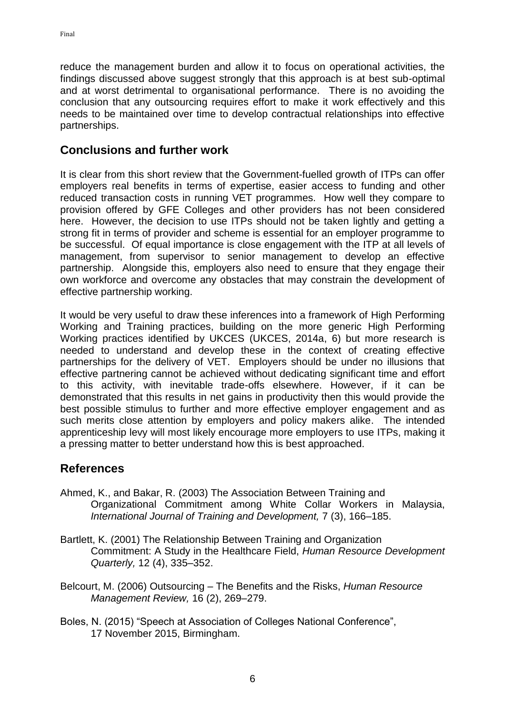reduce the management burden and allow it to focus on operational activities, the findings discussed above suggest strongly that this approach is at best sub-optimal and at worst detrimental to organisational performance. There is no avoiding the conclusion that any outsourcing requires effort to make it work effectively and this needs to be maintained over time to develop contractual relationships into effective partnerships.

# **Conclusions and further work**

It is clear from this short review that the Government-fuelled growth of ITPs can offer employers real benefits in terms of expertise, easier access to funding and other reduced transaction costs in running VET programmes. How well they compare to provision offered by GFE Colleges and other providers has not been considered here. However, the decision to use ITPs should not be taken lightly and getting a strong fit in terms of provider and scheme is essential for an employer programme to be successful. Of equal importance is close engagement with the ITP at all levels of management, from supervisor to senior management to develop an effective partnership. Alongside this, employers also need to ensure that they engage their own workforce and overcome any obstacles that may constrain the development of effective partnership working.

It would be very useful to draw these inferences into a framework of High Performing Working and Training practices, building on the more generic High Performing Working practices identified by UKCES (UKCES, 2014a, 6) but more research is needed to understand and develop these in the context of creating effective partnerships for the delivery of VET. Employers should be under no illusions that effective partnering cannot be achieved without dedicating significant time and effort to this activity, with inevitable trade-offs elsewhere. However, if it can be demonstrated that this results in net gains in productivity then this would provide the best possible stimulus to further and more effective employer engagement and as such merits close attention by employers and policy makers alike. The intended apprenticeship levy will most likely encourage more employers to use ITPs, making it a pressing matter to better understand how this is best approached.

# **References**

- Ahmed, K., and Bakar, R. (2003) The Association Between Training and Organizational Commitment among White Collar Workers in Malaysia, *International Journal of Training and Development,* 7 (3), 166–185.
- Bartlett, K. (2001) The Relationship Between Training and Organization Commitment: A Study in the Healthcare Field, *Human Resource Development Quarterly,* 12 (4), 335–352.
- Belcourt, M. (2006) Outsourcing The Benefits and the Risks, *Human Resource Management Review,* 16 (2), 269–279.
- Boles, N. (2015) "Speech at Association of Colleges National Conference", 17 November 2015, Birmingham.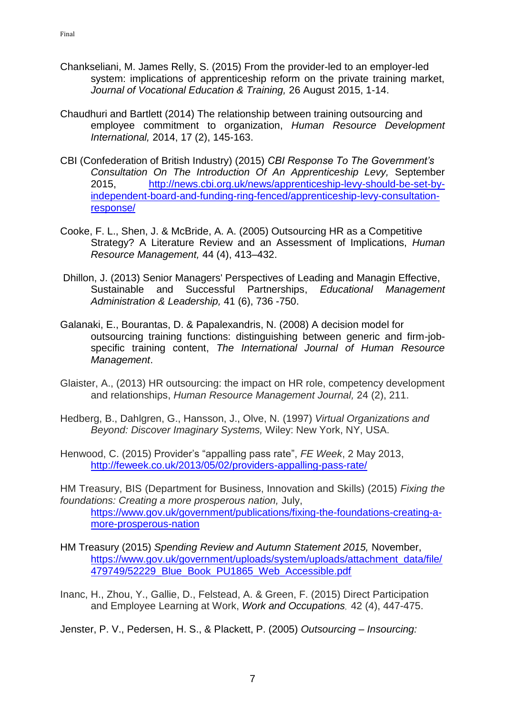- Chankseliani, M. James Relly, S. (2015) From the provider-led to an employer-led system: implications of apprenticeship reform on the private training market, *Journal of Vocational Education & Training,* 26 August 2015, 1-14.
- Chaudhuri and Bartlett (2014) The relationship between training outsourcing and employee commitment to organization, *Human Resource Development International,* 2014, 17 (2), 145-163.
- CBI (Confederation of British Industry) (2015) *CBI Response To The Government's Consultation On The Introduction Of An Apprenticeship Levy,* September 2015, [http://news.cbi.org.uk/news/apprenticeship-levy-should-be-set-by](http://news.cbi.org.uk/news/apprenticeship-levy-should-be-set-by-independent-board-and-funding-ring-fenced/apprenticeship-levy-consultation-response/)[independent-board-and-funding-ring-fenced/apprenticeship-levy-consultation](http://news.cbi.org.uk/news/apprenticeship-levy-should-be-set-by-independent-board-and-funding-ring-fenced/apprenticeship-levy-consultation-response/)[response/](http://news.cbi.org.uk/news/apprenticeship-levy-should-be-set-by-independent-board-and-funding-ring-fenced/apprenticeship-levy-consultation-response/)
- Cooke, F. L., Shen, J. & McBride, A. A. (2005) Outsourcing HR as a Competitive Strategy? A Literature Review and an Assessment of Implications, *Human Resource Management,* 44 (4), 413–432.
- Dhillon, J. (2013) Senior Managers' Perspectives of Leading and Managin Effective, Sustainable and Successful Partnerships, *Educational Management Administration & Leadership,* 41 (6), 736 -750.
- Galanaki, E., Bourantas, D. & Papalexandris, N. (2008) A decision model for outsourcing training functions: distinguishing between generic and firm-jobspecific training content, *The International Journal of Human Resource Management*.
- Glaister, A., (2013) HR outsourcing: the impact on HR role, competency development and relationships, *Human Resource Management Journal,* 24 (2), 211.
- Hedberg, B., Dahlgren, G., Hansson, J., Olve, N. (1997) *Virtual Organizations and Beyond: Discover Imaginary Systems,* Wiley: New York, NY, USA.
- Henwood, C. (2015) Provider's "appalling pass rate", *FE Week*, 2 May 2013, <http://feweek.co.uk/2013/05/02/providers-appalling-pass-rate/>
- HM Treasury, BIS (Department for Business, Innovation and Skills) (2015) *Fixing the foundations: Creating a more prosperous nation,* July, [https://www.gov.uk/government/publications/fixing-the-foundations-creating-a](https://www.gov.uk/government/publications/fixing-the-foundations-creating-a-more-prosperous-nation)[more-prosperous-nation](https://www.gov.uk/government/publications/fixing-the-foundations-creating-a-more-prosperous-nation)
- HM Treasury (2015) *Spending Review and Autumn Statement 2015,* November, [https://www.gov.uk/government/uploads/system/uploads/attachment\\_data/file/](https://www.gov.uk/government/uploads/system/uploads/attachment_data/file/479749/52229_Blue_Book_PU1865_Web_Accessible.pdf) [479749/52229\\_Blue\\_Book\\_PU1865\\_Web\\_Accessible.pdf](https://www.gov.uk/government/uploads/system/uploads/attachment_data/file/479749/52229_Blue_Book_PU1865_Web_Accessible.pdf)
- Inanc, H., Zhou, Y., Gallie, D., Felstead, A. & Green, F. (2015) Direct Participation and Employee Learning at Work, *Work and Occupations*, 42 (4), 447-475.
- Jenster, P. V., Pedersen, H. S., & Plackett, P. (2005) *Outsourcing – Insourcing:*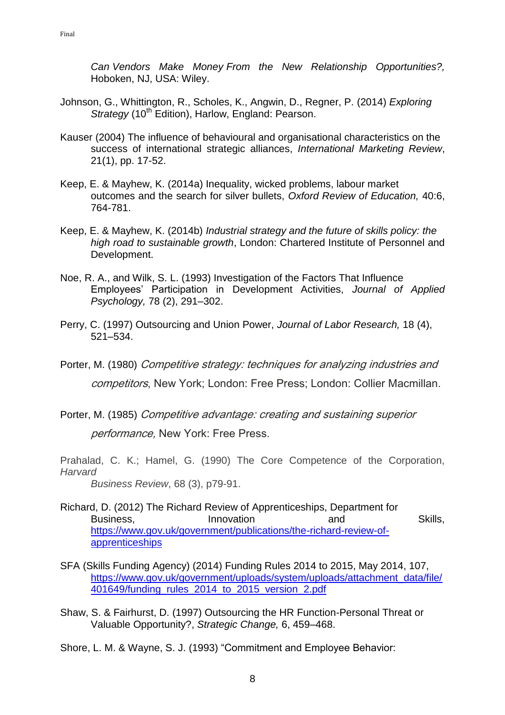*Can Vendors Make Money From the New Relationship Opportunities?,* Hoboken, NJ, USA: Wiley.

- Johnson, G., Whittington, R., Scholes, K., Angwin, D., Regner, P. (2014) *Exploring Strategy* (10<sup>th</sup> Edition), Harlow, England: Pearson.
- Kauser (2004) The influence of behavioural and organisational characteristics on the success of international strategic alliances, *International Marketing Review*, 21(1), pp. 17-52.
- Keep, E. & Mayhew, K. (2014a) Inequality, wicked problems, labour market outcomes and the search for silver bullets, *Oxford Review of Education,* 40:6, 764-781.
- Keep, E. & Mayhew, K. (2014b) *Industrial strategy and the future of skills policy: the high road to sustainable growth*, London: Chartered Institute of Personnel and Development.
- Noe, R. A., and Wilk, S. L. (1993) Investigation of the Factors That Influence Employees' Participation in Development Activities, *Journal of Applied Psychology,* 78 (2), 291–302.
- Perry, C. (1997) Outsourcing and Union Power, *Journal of Labor Research,* 18 (4), 521–534.
- Porter, M. (1980) Competitive strategy: techniques for analyzing industries and competitors, New York; London: Free Press; London: Collier Macmillan.
- Porter, M. (1985) Competitive advantage: creating and sustaining superior performance, New York: Free Press.

Prahalad, C. K.; Hamel, G. (1990) The Core Competence of the Corporation, *Harvard*

- *Business Review*, 68 (3), p79-91.
- Richard, D. (2012) The Richard Review of Apprenticeships, Department for Business, **Innovation** and Skills, [https://www.gov.uk/government/publications/the-richard-review-of](https://www.gov.uk/government/publications/the-richard-review-of-apprenticeships)[apprenticeships](https://www.gov.uk/government/publications/the-richard-review-of-apprenticeships)
- SFA (Skills Funding Agency) (2014) Funding Rules 2014 to 2015, May 2014, 107, [https://www.gov.uk/government/uploads/system/uploads/attachment\\_data/file/](https://www.gov.uk/government/uploads/system/uploads/attachment_data/file/401649/funding_rules_2014_to_2015_version_2.pdf) [401649/funding\\_rules\\_2014\\_to\\_2015\\_version\\_2.pdf](https://www.gov.uk/government/uploads/system/uploads/attachment_data/file/401649/funding_rules_2014_to_2015_version_2.pdf)
- Shaw, S. & Fairhurst, D. (1997) Outsourcing the HR Function-Personal Threat or Valuable Opportunity?, *Strategic Change,* 6, 459–468.

Shore, L. M. & Wayne, S. J. (1993) "Commitment and Employee Behavior: